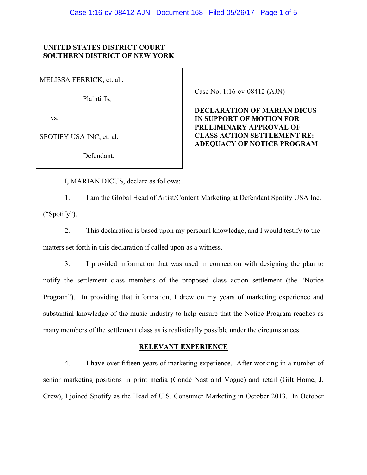### **UNITED STATES DISTRICT COURT SOUTHERN DISTRICT OF NEW YORK**

MELISSA FERRICK, et. al.,

Plaintiffs,

vs.

SPOTIFY USA INC, et. al.

Defendant.

Case No. 1:16-cv-08412 (AJN)

**DECLARATION OF MARIAN DICUS IN SUPPORT OF MOTION FOR PRELIMINARY APPROVAL OF CLASS ACTION SETTLEMENT RE: ADEQUACY OF NOTICE PROGRAM**

I, MARIAN DICUS, declare as follows:

1. I am the Global Head of Artist/Content Marketing at Defendant Spotify USA Inc. ("Spotify").

2. This declaration is based upon my personal knowledge, and I would testify to the matters set forth in this declaration if called upon as a witness.

3. I provided information that was used in connection with designing the plan to notify the settlement class members of the proposed class action settlement (the "Notice Program"). In providing that information, I drew on my years of marketing experience and substantial knowledge of the music industry to help ensure that the Notice Program reaches as many members of the settlement class as is realistically possible under the circumstances.

# **RELEVANT EXPERIENCE**

4. I have over fifteen years of marketing experience. After working in a number of senior marketing positions in print media (Condé Nast and Vogue) and retail (Gilt Home, J. Crew), I joined Spotify as the Head of U.S. Consumer Marketing in October 2013. In October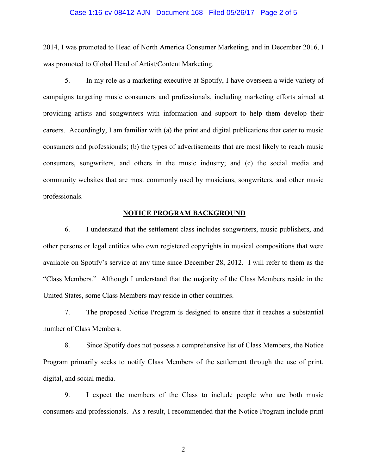#### Case 1:16-cv-08412-AJN Document 168 Filed 05/26/17 Page 2 of 5

2014, I was promoted to Head of North America Consumer Marketing, and in December 2016, I was promoted to Global Head of Artist/Content Marketing.

5. In my role as a marketing executive at Spotify, I have overseen a wide variety of campaigns targeting music consumers and professionals, including marketing efforts aimed at providing artists and songwriters with information and support to help them develop their careers. Accordingly, I am familiar with (a) the print and digital publications that cater to music consumers and professionals; (b) the types of advertisements that are most likely to reach music consumers, songwriters, and others in the music industry; and (c) the social media and community websites that are most commonly used by musicians, songwriters, and other music professionals.

#### **NOTICE PROGRAM BACKGROUND**

6. I understand that the settlement class includes songwriters, music publishers, and other persons or legal entities who own registered copyrights in musical compositions that were available on Spotify's service at any time since December 28, 2012. I will refer to them as the "Class Members." Although I understand that the majority of the Class Members reside in the United States, some Class Members may reside in other countries.

7. The proposed Notice Program is designed to ensure that it reaches a substantial number of Class Members.

8. Since Spotify does not possess a comprehensive list of Class Members, the Notice Program primarily seeks to notify Class Members of the settlement through the use of print, digital, and social media.

9. I expect the members of the Class to include people who are both music consumers and professionals. As a result, I recommended that the Notice Program include print

2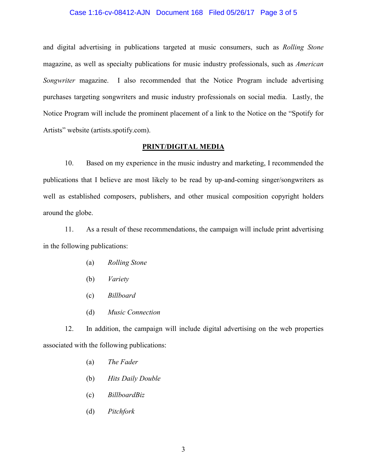#### Case 1:16-cv-08412-AJN Document 168 Filed 05/26/17 Page 3 of 5

and digital advertising in publications targeted at music consumers, such as *Rolling Stone* magazine, as well as specialty publications for music industry professionals, such as *American Songwriter* magazine. I also recommended that the Notice Program include advertising purchases targeting songwriters and music industry professionals on social media. Lastly, the Notice Program will include the prominent placement of a link to the Notice on the "Spotify for Artists" website (artists.spotify.com).

### **PRINT/DIGITAL MEDIA**

10. Based on my experience in the music industry and marketing, I recommended the publications that I believe are most likely to be read by up-and-coming singer/songwriters as well as established composers, publishers, and other musical composition copyright holders around the globe.

11. As a result of these recommendations, the campaign will include print advertising in the following publications:

- (a) *Rolling Stone*
- (b) *Variety*
- (c) *Billboard*
- (d) *Music Connection*

12. In addition, the campaign will include digital advertising on the web properties associated with the following publications:

- (a) *The Fader*
- (b) *Hits Daily Double*
- (c) *BillboardBiz*
- (d) *Pitchfork*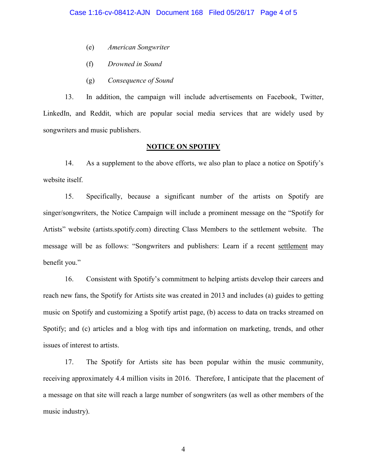- (e) *American Songwriter*
- (f) *Drowned in Sound*
- (g) *Consequence of Sound*

13. In addition, the campaign will include advertisements on Facebook, Twitter, LinkedIn, and Reddit, which are popular social media services that are widely used by songwriters and music publishers.

# **NOTICE ON SPOTIFY**

14. As a supplement to the above efforts, we also plan to place a notice on Spotify's website itself.

15. Specifically, because a significant number of the artists on Spotify are singer/songwriters, the Notice Campaign will include a prominent message on the "Spotify for Artists" website (artists.spotify.com) directing Class Members to the settlement website. The message will be as follows: "Songwriters and publishers: Learn if a recent settlement may benefit you."

16. Consistent with Spotify's commitment to helping artists develop their careers and reach new fans, the Spotify for Artists site was created in 2013 and includes (a) guides to getting music on Spotify and customizing a Spotify artist page, (b) access to data on tracks streamed on Spotify; and (c) articles and a blog with tips and information on marketing, trends, and other issues of interest to artists.

17. The Spotify for Artists site has been popular within the music community, receiving approximately 4.4 million visits in 2016. Therefore, I anticipate that the placement of a message on that site will reach a large number of songwriters (as well as other members of the music industry).

4